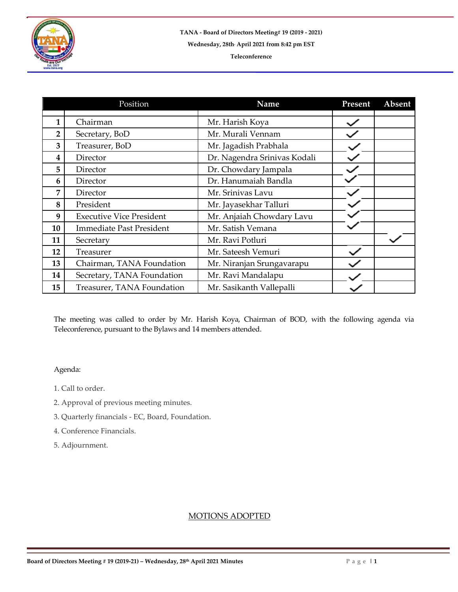

|    | Position                        | Name                         | Present | Absent |
|----|---------------------------------|------------------------------|---------|--------|
|    |                                 |                              |         |        |
| 1  | Chairman                        | Mr. Harish Koya              |         |        |
| 2  | Secretary, BoD                  | Mr. Murali Vennam            |         |        |
| 3  | Treasurer, BoD                  | Mr. Jagadish Prabhala        |         |        |
| 4  | Director                        | Dr. Nagendra Srinivas Kodali |         |        |
| 5  | Director                        | Dr. Chowdary Jampala         |         |        |
| 6  | Director                        | Dr. Hanumaiah Bandla         |         |        |
| 7  | Director                        | Mr. Srinivas Lavu            |         |        |
| 8  | President                       | Mr. Jayasekhar Talluri       |         |        |
| 9  | <b>Executive Vice President</b> | Mr. Anjaiah Chowdary Lavu    |         |        |
| 10 | <b>Immediate Past President</b> | Mr. Satish Vemana            |         |        |
| 11 | Secretary                       | Mr. Ravi Potluri             |         |        |
| 12 | Treasurer                       | Mr. Sateesh Vemuri           |         |        |
| 13 | Chairman, TANA Foundation       | Mr. Niranjan Srungavarapu    |         |        |
| 14 | Secretary, TANA Foundation      | Mr. Ravi Mandalapu           |         |        |
| 15 | Treasurer, TANA Foundation      | Mr. Sasikanth Vallepalli     |         |        |

The meeting was called to order by Mr. Harish Koya, Chairman of BOD, with the following agenda via Teleconference, pursuant to the Bylaws and 14 members attended.

## Agenda:

- 1. Call to order.
- 2. Approval of previous meeting minutes.
- 3. Quarterly financials EC, Board, Foundation.
- 4. Conference Financials.
- 5. Adjournment.

## MOTIONS ADOPTED